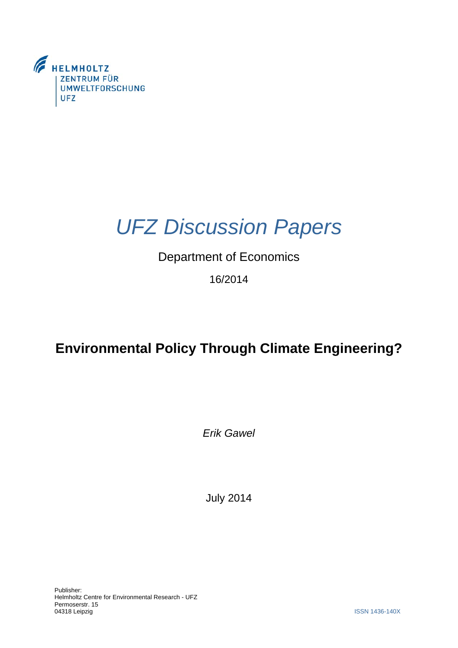

# *UFZ Discussion Papers*

### Department of Economics

16/2014

## **Environmental Policy Through Climate Engineering?**

*Erik Gawel* 

July 2014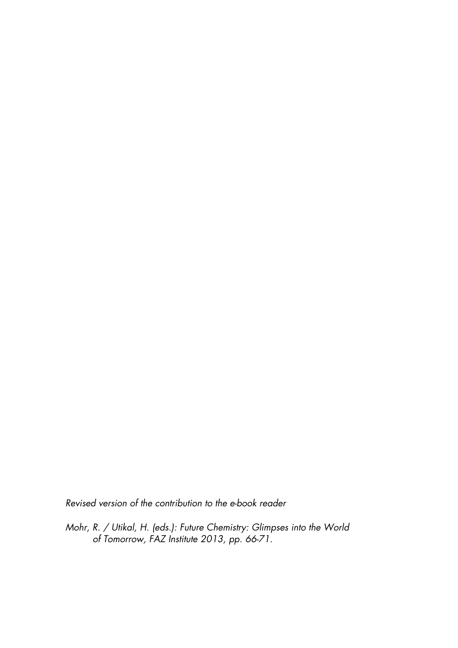*Revised version of the contribution to the e-book reader* 

*Mohr, R. / Utikal, H. (eds.): Future Chemistry: Glimpses into the World of Tomorrow, FAZ Institute 2013, pp. 66-71.*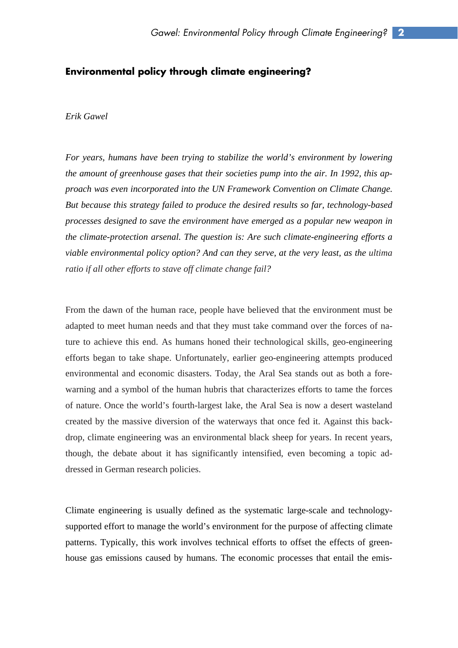#### **Environmental policy through climate engineering?**

#### *Erik Gawel*

*For years, humans have been trying to stabilize the world's environment by lowering the amount of greenhouse gases that their societies pump into the air. In 1992, this approach was even incorporated into the UN Framework Convention on Climate Change. But because this strategy failed to produce the desired results so far, technology-based processes designed to save the environment have emerged as a popular new weapon in the climate-protection arsenal. The question is: Are such climate-engineering efforts a viable environmental policy option? And can they serve, at the very least, as the ultima ratio if all other efforts to stave off climate change fail?* 

From the dawn of the human race, people have believed that the environment must be adapted to meet human needs and that they must take command over the forces of nature to achieve this end. As humans honed their technological skills, geo-engineering efforts began to take shape. Unfortunately, earlier geo-engineering attempts produced environmental and economic disasters. Today, the Aral Sea stands out as both a forewarning and a symbol of the human hubris that characterizes efforts to tame the forces of nature. Once the world's fourth-largest lake, the Aral Sea is now a desert wasteland created by the massive diversion of the waterways that once fed it. Against this backdrop, climate engineering was an environmental black sheep for years. In recent years, though, the debate about it has significantly intensified, even becoming a topic addressed in German research policies.

Climate engineering is usually defined as the systematic large-scale and technologysupported effort to manage the world's environment for the purpose of affecting climate patterns. Typically, this work involves technical efforts to offset the effects of greenhouse gas emissions caused by humans. The economic processes that entail the emis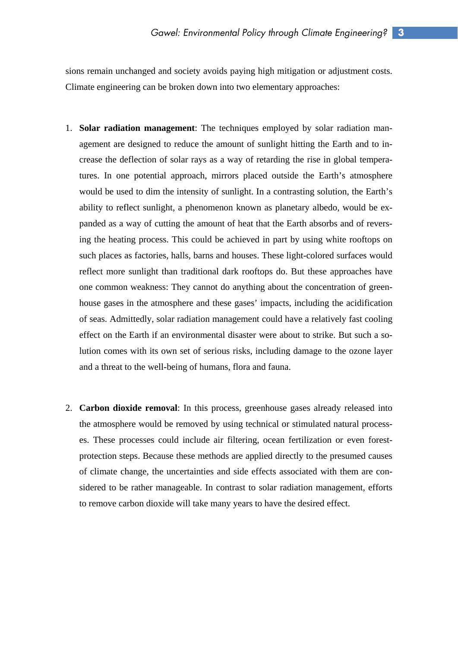sions remain unchanged and society avoids paying high mitigation or adjustment costs. Climate engineering can be broken down into two elementary approaches:

- 1. **Solar radiation management**: The techniques employed by solar radiation management are designed to reduce the amount of sunlight hitting the Earth and to increase the deflection of solar rays as a way of retarding the rise in global temperatures. In one potential approach, mirrors placed outside the Earth's atmosphere would be used to dim the intensity of sunlight. In a contrasting solution, the Earth's ability to reflect sunlight, a phenomenon known as planetary albedo, would be expanded as a way of cutting the amount of heat that the Earth absorbs and of reversing the heating process. This could be achieved in part by using white rooftops on such places as factories, halls, barns and houses. These light-colored surfaces would reflect more sunlight than traditional dark rooftops do. But these approaches have one common weakness: They cannot do anything about the concentration of greenhouse gases in the atmosphere and these gases' impacts, including the acidification of seas. Admittedly, solar radiation management could have a relatively fast cooling effect on the Earth if an environmental disaster were about to strike. But such a solution comes with its own set of serious risks, including damage to the ozone layer and a threat to the well-being of humans, flora and fauna.
- 2. **Carbon dioxide removal**: In this process, greenhouse gases already released into the atmosphere would be removed by using technical or stimulated natural processes. These processes could include air filtering, ocean fertilization or even forestprotection steps. Because these methods are applied directly to the presumed causes of climate change, the uncertainties and side effects associated with them are considered to be rather manageable. In contrast to solar radiation management, efforts to remove carbon dioxide will take many years to have the desired effect.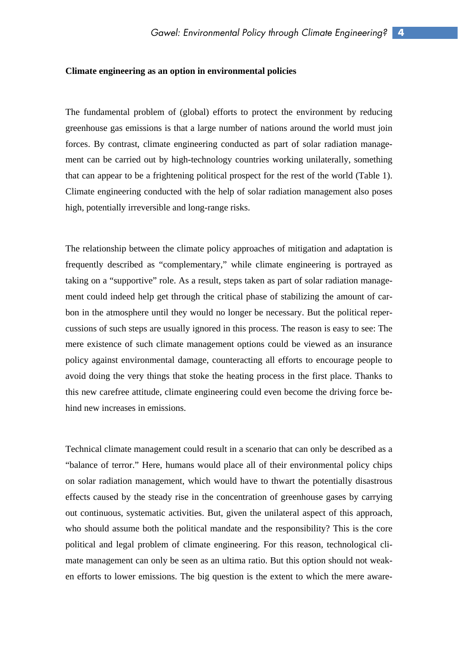#### **Climate engineering as an option in environmental policies**

The fundamental problem of (global) efforts to protect the environment by reducing greenhouse gas emissions is that a large number of nations around the world must join forces. By contrast, climate engineering conducted as part of solar radiation management can be carried out by high-technology countries working unilaterally, something that can appear to be a frightening political prospect for the rest of the world (Table 1). Climate engineering conducted with the help of solar radiation management also poses high, potentially irreversible and long-range risks.

The relationship between the climate policy approaches of mitigation and adaptation is frequently described as "complementary," while climate engineering is portrayed as taking on a "supportive" role. As a result, steps taken as part of solar radiation management could indeed help get through the critical phase of stabilizing the amount of carbon in the atmosphere until they would no longer be necessary. But the political repercussions of such steps are usually ignored in this process. The reason is easy to see: The mere existence of such climate management options could be viewed as an insurance policy against environmental damage, counteracting all efforts to encourage people to avoid doing the very things that stoke the heating process in the first place. Thanks to this new carefree attitude, climate engineering could even become the driving force behind new increases in emissions.

Technical climate management could result in a scenario that can only be described as a "balance of terror." Here, humans would place all of their environmental policy chips on solar radiation management, which would have to thwart the potentially disastrous effects caused by the steady rise in the concentration of greenhouse gases by carrying out continuous, systematic activities. But, given the unilateral aspect of this approach, who should assume both the political mandate and the responsibility? This is the core political and legal problem of climate engineering. For this reason, technological climate management can only be seen as an ultima ratio. But this option should not weaken efforts to lower emissions. The big question is the extent to which the mere aware-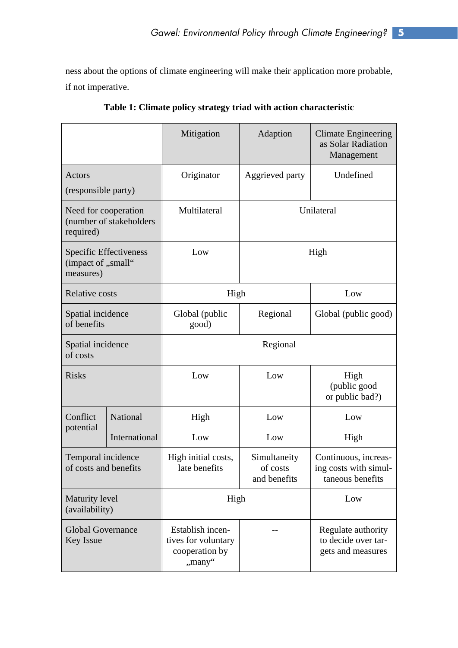ness about the options of climate engineering will make their application more probable, if not imperative.

|                                                              |               | Mitigation                                                          | Adaption                                 | <b>Climate Engineering</b><br>as Solar Radiation<br>Management    |
|--------------------------------------------------------------|---------------|---------------------------------------------------------------------|------------------------------------------|-------------------------------------------------------------------|
| Actors                                                       |               | Originator                                                          | Aggrieved party                          | Undefined                                                         |
| (responsible party)                                          |               |                                                                     |                                          |                                                                   |
| Need for cooperation<br>(number of stakeholders<br>required) |               | Multilateral                                                        | Unilateral                               |                                                                   |
| Specific Effectiveness<br>(impact of ,,small"<br>measures)   |               | Low                                                                 | High                                     |                                                                   |
| <b>Relative costs</b>                                        |               | High                                                                |                                          | Low                                                               |
| Spatial incidence<br>of benefits                             |               | Global (public<br>good)                                             | Regional                                 | Global (public good)                                              |
| Spatial incidence<br>of costs                                |               | Regional                                                            |                                          |                                                                   |
| <b>Risks</b>                                                 |               | Low                                                                 | Low                                      | High<br>(public good<br>or public bad?)                           |
| Conflict<br>potential                                        | National      | High                                                                | Low                                      | Low                                                               |
|                                                              | International | Low                                                                 | Low                                      | High                                                              |
| Temporal incidence<br>of costs and benefits                  |               | High initial costs,<br>late benefits                                | Simultaneity<br>of costs<br>and benefits | Continuous, increas-<br>ing costs with simul-<br>taneous benefits |
| Maturity level<br>(availability)                             |               | High                                                                |                                          | Low                                                               |
| <b>Global Governance</b><br><b>Key Issue</b>                 |               | Establish incen-<br>tives for voluntary<br>cooperation by<br>"many" |                                          | Regulate authority<br>to decide over tar-<br>gets and measures    |

**Table 1: Climate policy strategy triad with action characteristic**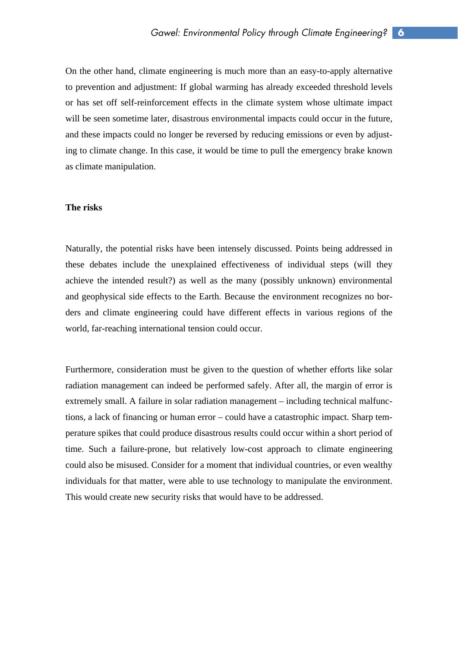On the other hand, climate engineering is much more than an easy-to-apply alternative to prevention and adjustment: If global warming has already exceeded threshold levels or has set off self-reinforcement effects in the climate system whose ultimate impact will be seen sometime later, disastrous environmental impacts could occur in the future, and these impacts could no longer be reversed by reducing emissions or even by adjusting to climate change. In this case, it would be time to pull the emergency brake known as climate manipulation.

#### **The risks**

Naturally, the potential risks have been intensely discussed. Points being addressed in these debates include the unexplained effectiveness of individual steps (will they achieve the intended result?) as well as the many (possibly unknown) environmental and geophysical side effects to the Earth. Because the environment recognizes no borders and climate engineering could have different effects in various regions of the world, far-reaching international tension could occur.

Furthermore, consideration must be given to the question of whether efforts like solar radiation management can indeed be performed safely. After all, the margin of error is extremely small. A failure in solar radiation management – including technical malfunctions, a lack of financing or human error – could have a catastrophic impact. Sharp temperature spikes that could produce disastrous results could occur within a short period of time. Such a failure-prone, but relatively low-cost approach to climate engineering could also be misused. Consider for a moment that individual countries, or even wealthy individuals for that matter, were able to use technology to manipulate the environment. This would create new security risks that would have to be addressed.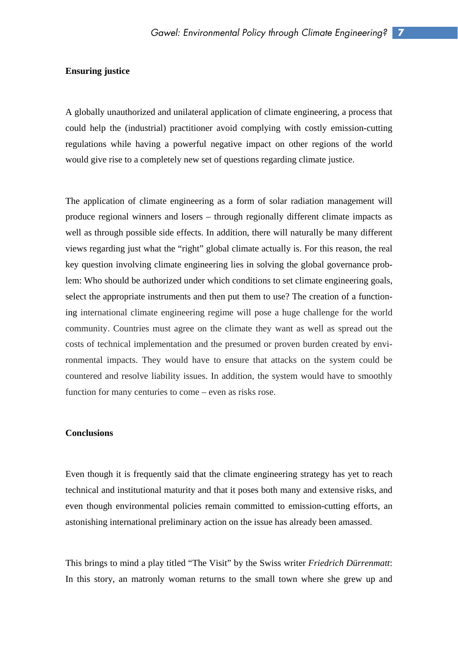#### **Ensuring justice**

A globally unauthorized and unilateral application of climate engineering, a process that could help the (industrial) practitioner avoid complying with costly emission-cutting regulations while having a powerful negative impact on other regions of the world would give rise to a completely new set of questions regarding climate justice.

The application of climate engineering as a form of solar radiation management will produce regional winners and losers – through regionally different climate impacts as well as through possible side effects. In addition, there will naturally be many different views regarding just what the "right" global climate actually is. For this reason, the real key question involving climate engineering lies in solving the global governance problem: Who should be authorized under which conditions to set climate engineering goals, select the appropriate instruments and then put them to use? The creation of a functioning international climate engineering regime will pose a huge challenge for the world community. Countries must agree on the climate they want as well as spread out the costs of technical implementation and the presumed or proven burden created by environmental impacts. They would have to ensure that attacks on the system could be countered and resolve liability issues. In addition, the system would have to smoothly function for many centuries to come – even as risks rose.

#### **Conclusions**

Even though it is frequently said that the climate engineering strategy has yet to reach technical and institutional maturity and that it poses both many and extensive risks, and even though environmental policies remain committed to emission-cutting efforts, an astonishing international preliminary action on the issue has already been amassed.

This brings to mind a play titled "The Visit" by the Swiss writer *Friedrich Dürrenmatt*: In this story, an matronly woman returns to the small town where she grew up and